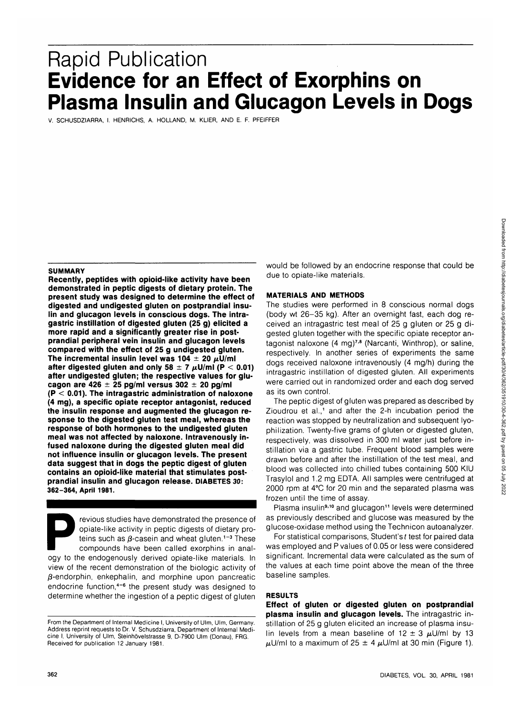# Rapid Publication **Evidence for an Effect of Exorphins on Plasma Insulin and Glucagon Levels in Dogs**

V. SCHUSDZIARRA, I. HENRICHS, A. HOLLAND, M. KLIER, AND E. F. PFEIFFER

#### **SUMMARY**

**Recently, peptides with opioid-like activity have been demonstrated in peptic digests of dietary protein. The present study was designed to determine the effect of digested and undigested gluten on postprandial insulin and glucagon levels in conscious dogs. The intragastric instillation of digested gluten (25 g) elicited a more rapid and a significantly greater rise in postprandial peripheral vein insulin and glucagon levels compared with the effect of 25 g undigested gluten.** The incremental insulin level was  $104 \pm 20 \,\mu$ U/ml after digested gluten and only 58  $\pm$  7  $\mu$ U/ml (P < 0.01) **after undigested gluten; the respective values for glucagon are 426 ± 25 pg/ml versus 302 ± 20 pg/ml (P < 0.01). The intragastric administration of naloxone (4 mg), a specific opiate receptor antagonist, reduced the insulin response and augmented the glucagon response to the digested gluten test meal, whereas the response of both hormones to the undigested gluten meal was not affected by naloxone. Intravenously infused naloxone during the digested gluten meal did not influence insulin or glucagon levels. The present data suggest that in dogs the peptic digest of gluten contains an opioid-like material that stimulates postprandial insulin and glucagon release, DIABETES 30: 362-364, April 1981.**

Previous studies have demonstrated the presence of opiate-like activity in peptic digests of dietary proteins such as  $\beta$ -casein and wheat gluten.<sup>1-3</sup> These compounds have been called exorphins in anal-<br>ouv to the endog opiate-like activity in peptic digests of dietary proteins such as  $\beta$ -casein and wheat gluten.<sup>1-3</sup> These compounds have been called exorphins in analogy to the endogenously derived opiate-like materials. In view of the recent demonstration of the biologic activity of  $\beta$ -endorphin, enkephalin, and morphine upon pancreatic endocrine function.<sup>4-6</sup> the present study was designed to determine whether the ingestion of a peptic digest of gluten

would be followed by an endocrine response that could be due to opiate-like materials.

## **MATERIALS AND METHODS**

The studies were performed in 8 conscious normal dogs (body wt 26-35 kg). After an overnight fast, each dog received an intragastric test meal of 25 g gluten or 25 g digested gluten together with the specific opiate receptor antagonist naloxone (4 mg)<sup>7,8</sup> (Narcanti, Winthrop), or saline, respectively. In another series of experiments the same dogs received naloxone intravenously (4 mg/h) during the intragastric instillation of digested gluten. All experiments were carried out in randomized order and each dog served as its own control.

The peptic digest of gluten was prepared as described by Zioudrou et al.,<sup>†</sup> and after the 2-h incubation period the reaction was stopped by neutralization and subsequent lyophilization. Twenty-five grams of gluten or digested gluten, respectively, was dissolved in 300 ml water just before instillation via a gastric tube. Frequent blood samples were drawn before and after the instillation of the test meal, and blood was collected into chilled tubes containing 500 KIU Trasylol and 1.2 mg EDTA. All samples were centrifuged at 2000 rpm at 4°C for 20 min and the separated plasma was frozen until the time of assay.

Plasma insulin<sup>9,10</sup> and glucagon<sup>11</sup> levels were determined as previously described and glucose was measured by the glucose-oxidase method using theTechnicon autoanalyzer.

For statistical comparisons, Student's t test for paired data was employed and P values of 0.05 or less were considered significant. Incremental data were calculated as the sum of the values at each time point above the mean of the three baseline samples.

# **RESULTS**

**Effect of gluten or digested gluten on postprandial plasma insulin and glucagon levels.** The intragastric instillation of 25 g gluten elicited an increase of plasma insulin levels from a mean baseline of  $12 \pm 3$   $\mu$ U/ml by 13  $\mu$ U/ml to a maximum of 25  $\pm$  4  $\mu$ U/ml at 30 min (Figure 1).

From the Department of Internal Medicine I, University of Ulm, Ulm, Germany. Address reprint requests to Dr. V. Schusdziarra, Department of Internal Medicine I, University of Ulm, Steinhövelstrasse 9, D-7900 Ulm (Donau), FRG. Received for publication 12 January 1981.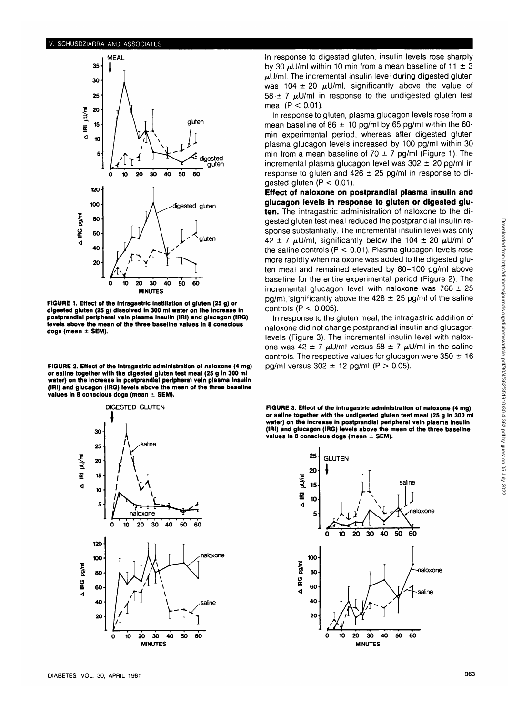#### **V. SCHUSDZIARRA AND ASSOCIATES**



FIGURE 1. Effect of the intragastric instillation of gluten (25 g) or **digested gluten (25 g) dissolved In 300 ml water on the increase in postprandial peripheral vein plasma Insulin (IRI) and glucagon (IRG) levels above the mean of the three baseline values in 8 conscious dogs (mean ± SEM).**

**FIGURE 2. Effect of the Intragastric administration of naloxone (4 mg) or saline together with the digested gluten test meal (25 g in 300 ml water) on the increase in postprandial peripheral vein plasma Insulin (IRI) and glucagon (IRG) levels above the mean of the three baseline values In 8 conscious dogs (mean ± SEM).**



In response to digested gluten, insulin levels rose sharply by 30  $\mu$ U/ml within 10 min from a mean baseline of 11  $\pm$  3  $\mu$ U/ml. The incremental insulin level during digested gluten was 104  $\pm$  20  $\mu$ U/ml, significantly above the value of  $58 \pm 7$   $\mu$ U/ml in response to the undigested gluten test meal ( $P < 0.01$ ).

In response to gluten, plasma glucagon levels rose from a mean baseline of 86  $\pm$  10 pg/ml by 65 pg/ml within the 60min experimental period, whereas after digested gluten plasma glucagon levels increased by 100 pg/ml within 30 min from a mean baseline of 70  $\pm$  7 pg/ml (Figure 1). The incremental plasma glucagon level was  $302 \pm 20$  pg/ml in response to gluten and  $426 \pm 25$  pg/ml in response to digested gluten  $(P < 0.01)$ .

**Effect of naloxone on postprandial plasma insulin and glucagon levels in response to gluten or digested gluten.** The intragastric administration of naloxone to the digested gluten test meal reduced the postprandial insulin response substantially. The incremental insulin level was only  $42 \pm 7$  µU/ml, significantly below the 104  $\pm$  20 µU/ml of the saline controls  $(P < 0.01)$ . Plasma glucagon levels rose more rapidly when naloxone was added to the digested gluten meal and remained elevated by 80-100 pg/ml above baseline for the entire experimental period (Figure 2). The incremental glucagon level with naloxone was  $766 \pm 25$ pg/ml, significantly above the  $426 \pm 25$  pg/ml of the saline controls  $(P < 0.005)$ .

In response to the gluten meal, the intragastric addition of naloxone did not change postprandial insulin and glucagon levels (Figure 3). The incremental insulin level with naloxone was 42  $\pm$  7  $\mu$ U/ml versus 58  $\pm$  7  $\mu$ U/ml in the saline controls. The respective values for glucagon were  $350 \pm 16$ pg/ml versus  $302 \pm 12$  pg/ml (P  $> 0.05$ ).